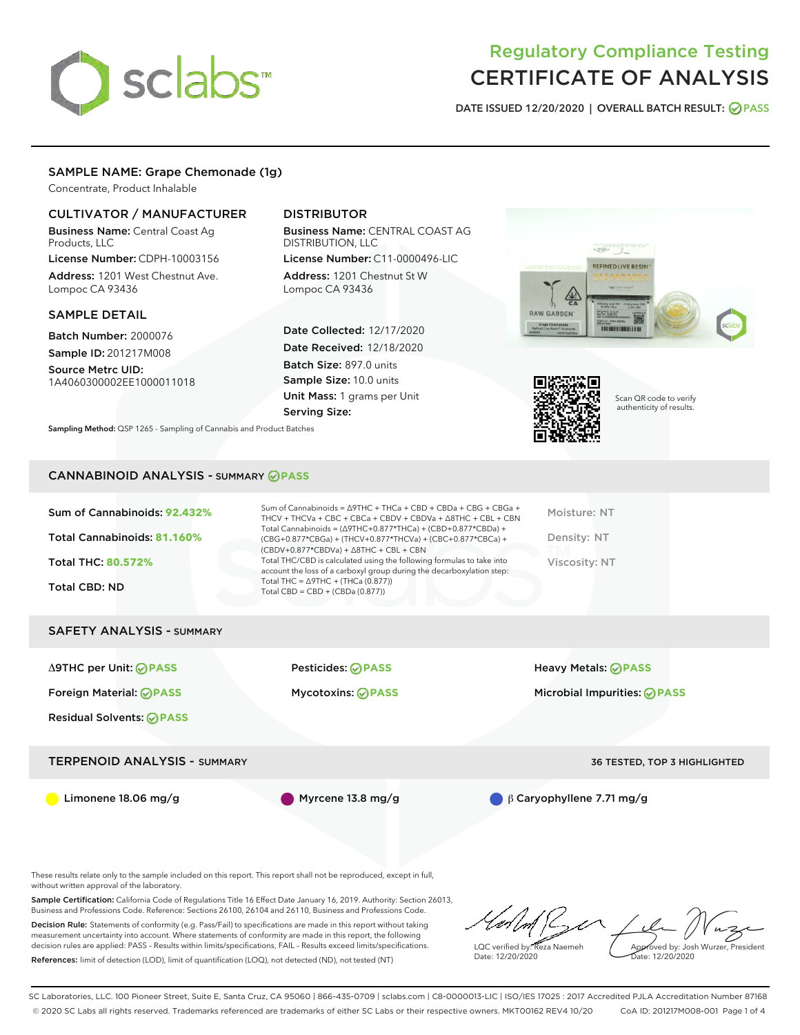

DATE ISSUED 12/20/2020 | OVERALL BATCH RESULT: @ PASS

## SAMPLE NAME: Grape Chemonade (1g)

Concentrate, Product Inhalable

## CULTIVATOR / MANUFACTURER

Business Name: Central Coast Ag Products, LLC

License Number: CDPH-10003156 Address: 1201 West Chestnut Ave. Lompoc CA 93436

### SAMPLE DETAIL

Batch Number: 2000076 Sample ID: 201217M008

Source Metrc UID: 1A4060300002EE1000011018

# DISTRIBUTOR

Business Name: CENTRAL COAST AG DISTRIBUTION, LLC

License Number: C11-0000496-LIC Address: 1201 Chestnut St W Lompoc CA 93436

Date Collected: 12/17/2020 Date Received: 12/18/2020 Batch Size: 897.0 units Sample Size: 10.0 units Unit Mass: 1 grams per Unit Serving Size:





Scan QR code to verify authenticity of results.

Sampling Method: QSP 1265 - Sampling of Cannabis and Product Batches

### CANNABINOID ANALYSIS - SUMMARY **PASS**

| Sum of Cannabinoids = $\triangle$ 9THC + THCa + CBD + CBDa + CBG + CBGa +<br>THCV + THCVa + CBC + CBCa + CBDV + CBDVa + $\land$ 8THC + CBL + CBN<br>Total Cannabinoids = $(\Delta$ 9THC+0.877*THCa) + (CBD+0.877*CBDa) +<br>(CBG+0.877*CBGa) + (THCV+0.877*THCVa) + (CBC+0.877*CBCa) +<br>$(CBDV+0.877*CBDVa) + \Delta 8THC + CBL + CBN$<br>Total THC/CBD is calculated using the following formulas to take into<br>account the loss of a carboxyl group during the decarboxylation step:<br>Total THC = $\triangle$ 9THC + (THCa (0.877))<br>Total CBD = $CBD + (CBDa (0.877))$ | Moisture: NT<br>Density: NT<br>Viscosity: NT |
|-----------------------------------------------------------------------------------------------------------------------------------------------------------------------------------------------------------------------------------------------------------------------------------------------------------------------------------------------------------------------------------------------------------------------------------------------------------------------------------------------------------------------------------------------------------------------------------|----------------------------------------------|
|                                                                                                                                                                                                                                                                                                                                                                                                                                                                                                                                                                                   |                                              |
| <b>Pesticides: ⊘PASS</b>                                                                                                                                                                                                                                                                                                                                                                                                                                                                                                                                                          | <b>Heavy Metals: ⊘ PASS</b>                  |
| <b>Mycotoxins: ⊘PASS</b>                                                                                                                                                                                                                                                                                                                                                                                                                                                                                                                                                          | Microbial Impurities: <b>OPASS</b>           |
|                                                                                                                                                                                                                                                                                                                                                                                                                                                                                                                                                                                   |                                              |
| <b>TERPENOID ANALYSIS - SUMMARY</b>                                                                                                                                                                                                                                                                                                                                                                                                                                                                                                                                               | <b>36 TESTED, TOP 3 HIGHLIGHTED</b>          |
|                                                                                                                                                                                                                                                                                                                                                                                                                                                                                                                                                                                   |                                              |

Limonene 18.06 mg/g Myrcene 13.8 mg/g β Caryophyllene 7.71 mg/g

These results relate only to the sample included on this report. This report shall not be reproduced, except in full, without written approval of the laboratory.

Sample Certification: California Code of Regulations Title 16 Effect Date January 16, 2019. Authority: Section 26013, Business and Professions Code. Reference: Sections 26100, 26104 and 26110, Business and Professions Code.

Decision Rule: Statements of conformity (e.g. Pass/Fail) to specifications are made in this report without taking measurement uncertainty into account. Where statements of conformity are made in this report, the following decision rules are applied: PASS – Results within limits/specifications, FAIL – Results exceed limits/specifications. References: limit of detection (LOD), limit of quantification (LOQ), not detected (ND), not tested (NT)

LQC verified by: Reza Naemeh Date: 12/20/2020 Approved by: Josh Wurzer, President Date: 12/20/2020

SC Laboratories, LLC. 100 Pioneer Street, Suite E, Santa Cruz, CA 95060 | 866-435-0709 | sclabs.com | C8-0000013-LIC | ISO/IES 17025 : 2017 Accredited PJLA Accreditation Number 87168 © 2020 SC Labs all rights reserved. Trademarks referenced are trademarks of either SC Labs or their respective owners. MKT00162 REV4 10/20 CoA ID: 201217M008-001 Page 1 of 4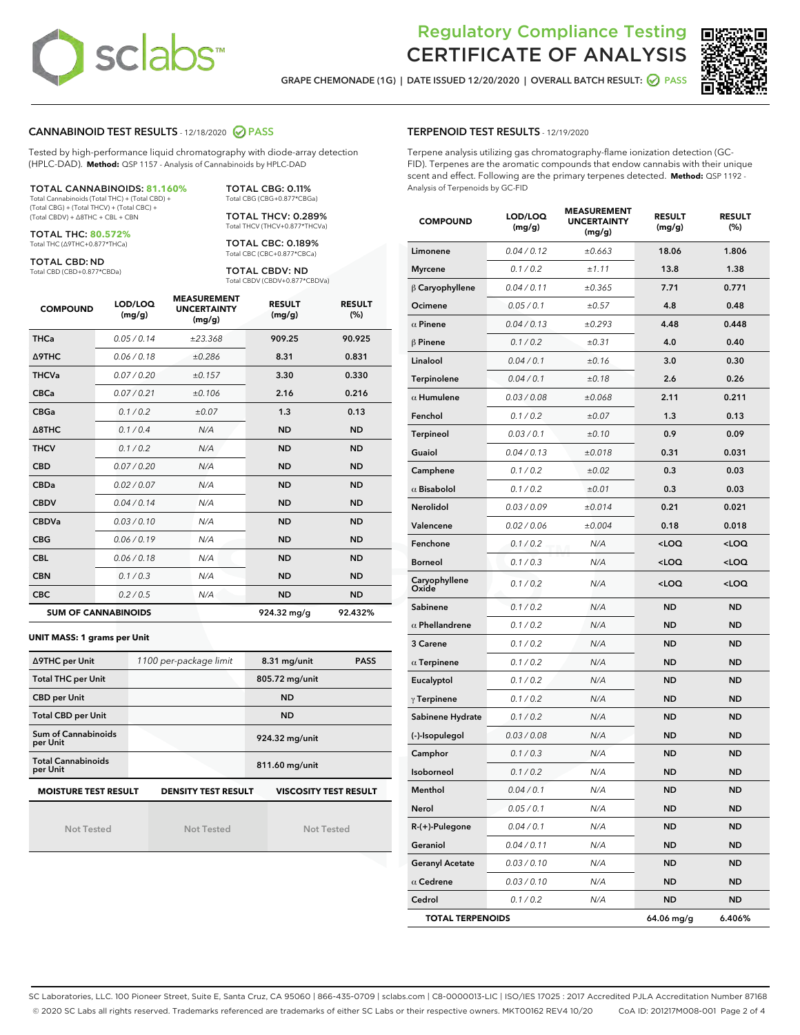

GRAPE CHEMONADE (1G) | DATE ISSUED 12/20/2020 | OVERALL BATCH RESULT: @ PASS



### CANNABINOID TEST RESULTS - 12/18/2020 PASS

Tested by high-performance liquid chromatography with diode-array detection (HPLC-DAD). **Method:** QSP 1157 - Analysis of Cannabinoids by HPLC-DAD

### TOTAL CANNABINOIDS: **81.160%**

Total Cannabinoids (Total THC) + (Total CBD) + (Total CBG) + (Total THCV) + (Total CBC) + (Total CBDV) + ∆8THC + CBL + CBN

TOTAL THC: **80.572%** Total THC (∆9THC+0.877\*THCa)

TOTAL CBD: ND

Total CBD (CBD+0.877\*CBDa)

TOTAL CBG: 0.11% Total CBG (CBG+0.877\*CBGa) TOTAL THCV: 0.289% Total THCV (THCV+0.877\*THCVa)

TOTAL CBC: 0.189% Total CBC (CBC+0.877\*CBCa)

TOTAL CBDV: ND Total CBDV (CBDV+0.877\*CBDVa)

| <b>COMPOUND</b>  | LOD/LOQ<br>(mg/g)          | <b>MEASUREMENT</b><br><b>UNCERTAINTY</b><br>(mg/g) | <b>RESULT</b><br>(mg/g) | <b>RESULT</b><br>(%) |
|------------------|----------------------------|----------------------------------------------------|-------------------------|----------------------|
| <b>THCa</b>      | 0.05/0.14                  | ±23.368                                            | 909.25                  | 90.925               |
| <b>A9THC</b>     | 0.06/0.18                  | ±0.286                                             | 8.31                    | 0.831                |
| <b>THCVa</b>     | 0.07/0.20                  | ±0.157                                             | 3.30                    | 0.330                |
| <b>CBCa</b>      | 0.07/0.21                  | ±0.106                                             | 2.16                    | 0.216                |
| <b>CBGa</b>      | 0.1/0.2                    | ±0.07                                              | 1.3                     | 0.13                 |
| $\triangle$ 8THC | 0.1 / 0.4                  | N/A                                                | <b>ND</b>               | <b>ND</b>            |
| <b>THCV</b>      | 0.1/0.2                    | N/A                                                | <b>ND</b>               | <b>ND</b>            |
| <b>CBD</b>       | 0.07/0.20                  | N/A                                                | <b>ND</b>               | <b>ND</b>            |
| <b>CBDa</b>      | 0.02 / 0.07                | N/A                                                | <b>ND</b>               | <b>ND</b>            |
| <b>CBDV</b>      | 0.04/0.14                  | N/A                                                | <b>ND</b>               | <b>ND</b>            |
| <b>CBDVa</b>     | 0.03/0.10                  | N/A                                                | <b>ND</b>               | <b>ND</b>            |
| <b>CBG</b>       | 0.06/0.19                  | N/A                                                | <b>ND</b>               | <b>ND</b>            |
| <b>CBL</b>       | 0.06/0.18                  | N/A                                                | <b>ND</b>               | <b>ND</b>            |
| <b>CBN</b>       | 0.1/0.3                    | N/A                                                | <b>ND</b>               | <b>ND</b>            |
| <b>CBC</b>       | 0.2 / 0.5                  | N/A                                                | <b>ND</b>               | <b>ND</b>            |
|                  | <b>SUM OF CANNABINOIDS</b> |                                                    | 924.32 mg/g             | 92.432%              |

#### **UNIT MASS: 1 grams per Unit**

| ∆9THC per Unit                                                                            | 1100 per-package limit | 8.31 mg/unit<br><b>PASS</b> |  |  |  |
|-------------------------------------------------------------------------------------------|------------------------|-----------------------------|--|--|--|
| <b>Total THC per Unit</b>                                                                 |                        | 805.72 mg/unit              |  |  |  |
| <b>CBD per Unit</b>                                                                       |                        | <b>ND</b>                   |  |  |  |
| <b>Total CBD per Unit</b>                                                                 |                        | <b>ND</b>                   |  |  |  |
| Sum of Cannabinoids<br>per Unit                                                           |                        | 924.32 mg/unit              |  |  |  |
| <b>Total Cannabinoids</b><br>per Unit                                                     |                        | 811.60 mg/unit              |  |  |  |
| <b>MOISTURE TEST RESULT</b><br><b>VISCOSITY TEST RESULT</b><br><b>DENSITY TEST RESULT</b> |                        |                             |  |  |  |

Not Tested

Not Tested

Not Tested

#### TERPENOID TEST RESULTS - 12/19/2020

Terpene analysis utilizing gas chromatography-flame ionization detection (GC-FID). Terpenes are the aromatic compounds that endow cannabis with their unique scent and effect. Following are the primary terpenes detected. **Method:** QSP 1192 - Analysis of Terpenoids by GC-FID

| <b>COMPOUND</b>         | LOD/LOQ<br>(mg/g) | <b>MEASUREMENT</b><br><b>UNCERTAINTY</b><br>(mg/g) | <b>RESULT</b><br>(mg/g)                         | <b>RESULT</b><br>$(\%)$ |
|-------------------------|-------------------|----------------------------------------------------|-------------------------------------------------|-------------------------|
| Limonene                | 0.04 / 0.12       | ±0.663                                             | 18.06                                           | 1.806                   |
| <b>Myrcene</b>          | 0.1 / 0.2         | ±1.11                                              | 13.8                                            | 1.38                    |
| $\beta$ Caryophyllene   | 0.04 / 0.11       | ±0.365                                             | 7.71                                            | 0.771                   |
| Ocimene                 | 0.05 / 0.1        | $\pm 0.57$                                         | 4.8                                             | 0.48                    |
| $\alpha$ Pinene         | 0.04 / 0.13       | ±0.293                                             | 4.48                                            | 0.448                   |
| <b>B</b> Pinene         | 0.1 / 0.2         | $\pm 0.31$                                         | 4.0                                             | 0.40                    |
| Linalool                | 0.04 / 0.1        | ±0.16                                              | 3.0                                             | 0.30                    |
| Terpinolene             | 0.04 / 0.1        | ±0.18                                              | 2.6                                             | 0.26                    |
| $\alpha$ Humulene       | 0.03 / 0.08       | ±0.068                                             | 2.11                                            | 0.211                   |
| Fenchol                 | 0.1 / 0.2         | ±0.07                                              | 1.3                                             | 0.13                    |
| Terpineol               | 0.03 / 0.1        | ±0.10                                              | 0.9                                             | 0.09                    |
| Guaiol                  | 0.04 / 0.13       | ±0.018                                             | 0.31                                            | 0.031                   |
| Camphene                | 0.1 / 0.2         | ±0.02                                              | 0.3                                             | 0.03                    |
| $\alpha$ Bisabolol      | 0.1 / 0.2         | ±0.01                                              | 0.3                                             | 0.03                    |
| Nerolidol               | 0.03 / 0.09       | ±0.014                                             | 0.21                                            | 0.021                   |
| Valencene               | 0.02 / 0.06       | ±0.004                                             | 0.18                                            | 0.018                   |
| Fenchone                | 0.1 / 0.2         | N/A                                                | <loq< th=""><th><loq< th=""></loq<></th></loq<> | <loq< th=""></loq<>     |
| <b>Borneol</b>          | 0.1 / 0.3         | N/A                                                | <loq< th=""><th><loq< th=""></loq<></th></loq<> | <loq< th=""></loq<>     |
| Caryophyllene<br>Oxide  | 0.1/0.2           | N/A                                                | <loq< th=""><th><loq< th=""></loq<></th></loq<> | <loq< th=""></loq<>     |
| Sabinene                | 0.1 / 0.2         | N/A                                                | <b>ND</b>                                       | <b>ND</b>               |
| $\alpha$ Phellandrene   | 0.1 / 0.2         | N/A                                                | <b>ND</b>                                       | <b>ND</b>               |
| 3 Carene                | 0.1 / 0.2         | N/A                                                | ND                                              | <b>ND</b>               |
| $\alpha$ Terpinene      | 0.1 / 0.2         | N/A                                                | <b>ND</b>                                       | <b>ND</b>               |
| Eucalyptol              | 0.1 / 0.2         | N/A                                                | ND                                              | <b>ND</b>               |
| $\gamma$ Terpinene      | 0.1 / 0.2         | N/A                                                | ND                                              | <b>ND</b>               |
| Sabinene Hydrate        | 0.1 / 0.2         | N/A                                                | <b>ND</b>                                       | <b>ND</b>               |
| (-)-Isopulegol          | 0.03 / 0.08       | N/A                                                | ND                                              | <b>ND</b>               |
| Camphor                 | 0.1 / 0.3         | N/A                                                | ND                                              | <b>ND</b>               |
| Isoborneol              | 0.1 / 0.2         | N/A                                                | <b>ND</b>                                       | <b>ND</b>               |
| Menthol                 | 0.04 / 0.1        | N/A                                                | <b>ND</b>                                       | <b>ND</b>               |
| Nerol                   | 0.05 / 0.1        | N/A                                                | ND                                              | ND                      |
| R-(+)-Pulegone          | 0.04 / 0.1        | N/A                                                | <b>ND</b>                                       | ND                      |
| Geraniol                | 0.04 / 0.11       | N/A                                                | ND                                              | ND                      |
| <b>Geranyl Acetate</b>  | 0.03 / 0.10       | N/A                                                | ND                                              | ND                      |
| $\alpha$ Cedrene        | 0.03 / 0.10       | N/A                                                | ND                                              | ND                      |
| Cedrol                  | 0.1 / 0.2         | N/A                                                | <b>ND</b>                                       | ND                      |
| <b>TOTAL TERPENOIDS</b> |                   |                                                    | 64.06 mg/g                                      | 6.406%                  |

SC Laboratories, LLC. 100 Pioneer Street, Suite E, Santa Cruz, CA 95060 | 866-435-0709 | sclabs.com | C8-0000013-LIC | ISO/IES 17025 : 2017 Accredited PJLA Accreditation Number 87168 © 2020 SC Labs all rights reserved. Trademarks referenced are trademarks of either SC Labs or their respective owners. MKT00162 REV4 10/20 CoA ID: 201217M008-001 Page 2 of 4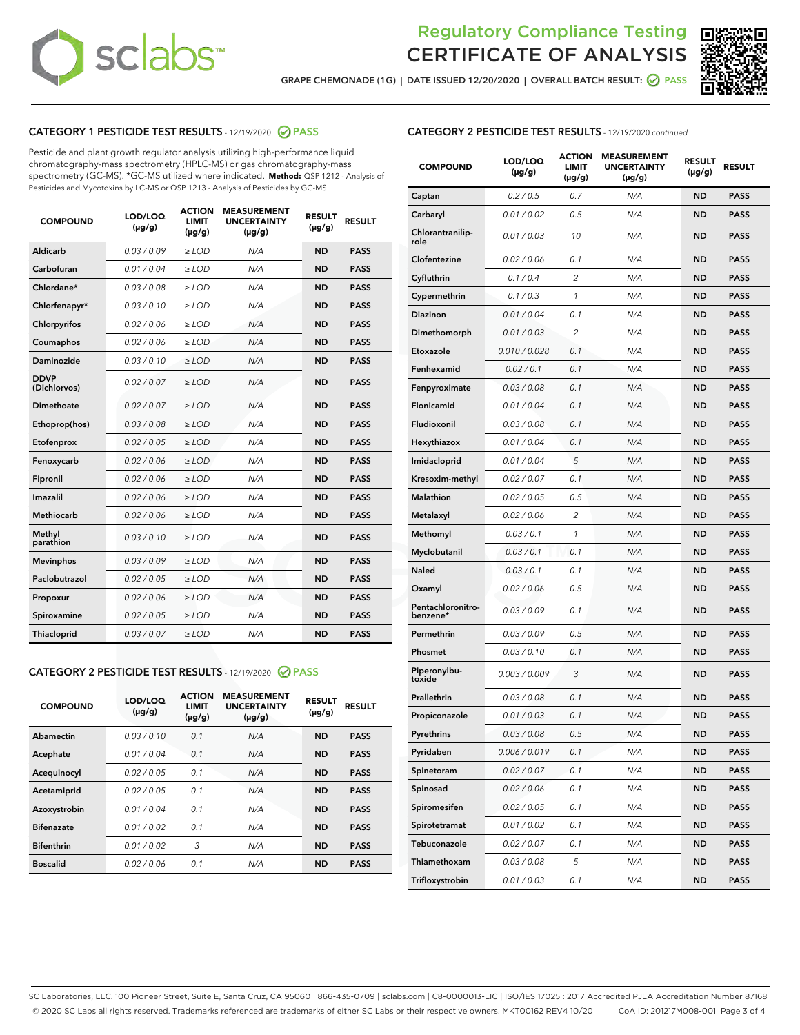

GRAPE CHEMONADE (1G) | DATE ISSUED 12/20/2020 | OVERALL BATCH RESULT:  $\bigotimes$  PASS



# CATEGORY 1 PESTICIDE TEST RESULTS - 12/19/2020 PASS

Pesticide and plant growth regulator analysis utilizing high-performance liquid chromatography-mass spectrometry (HPLC-MS) or gas chromatography-mass spectrometry (GC-MS). \*GC-MS utilized where indicated. **Method:** QSP 1212 - Analysis of Pesticides and Mycotoxins by LC-MS or QSP 1213 - Analysis of Pesticides by GC-MS

| <b>COMPOUND</b>             | LOD/LOQ<br>$(\mu g/g)$ | <b>ACTION</b><br>LIMIT<br>$(\mu g/g)$ | <b>MEASUREMENT</b><br><b>UNCERTAINTY</b><br>$(\mu g/g)$ | <b>RESULT</b><br>$(\mu g/g)$ | <b>RESULT</b> |
|-----------------------------|------------------------|---------------------------------------|---------------------------------------------------------|------------------------------|---------------|
| Aldicarb                    | 0.03/0.09              | $>$ LOD                               | N/A                                                     | <b>ND</b>                    | <b>PASS</b>   |
| Carbofuran                  | 0.01 / 0.04            | ≥ LOD                                 | N/A                                                     | <b>ND</b>                    | <b>PASS</b>   |
| Chlordane*                  | 0.03 / 0.08            | ≥ LOD                                 | N/A                                                     | <b>ND</b>                    | <b>PASS</b>   |
| Chlorfenapyr*               | 0.03/0.10              | $>$ LOD                               | N/A                                                     | <b>ND</b>                    | <b>PASS</b>   |
| Chlorpyrifos                | 0.02 / 0.06            | $\geq$ LOD                            | N/A                                                     | <b>ND</b>                    | <b>PASS</b>   |
| Coumaphos                   | 0.02 / 0.06            | $\geq$ LOD                            | N/A                                                     | <b>ND</b>                    | <b>PASS</b>   |
| Daminozide                  | 0.03/0.10              | $>$ LOD                               | N/A                                                     | <b>ND</b>                    | <b>PASS</b>   |
| <b>DDVP</b><br>(Dichlorvos) | 0.02 / 0.07            | $\geq$ LOD                            | N/A                                                     | <b>ND</b>                    | <b>PASS</b>   |
| <b>Dimethoate</b>           | 0.02 / 0.07            | $\geq$ LOD                            | N/A                                                     | <b>ND</b>                    | <b>PASS</b>   |
| Ethoprop(hos)               | 0.03 / 0.08            | $>$ LOD                               | N/A                                                     | <b>ND</b>                    | <b>PASS</b>   |
| Etofenprox                  | 0.02 / 0.05            | $\geq$ LOD                            | N/A                                                     | <b>ND</b>                    | <b>PASS</b>   |
| Fenoxycarb                  | 0.02 / 0.06            | $\geq$ LOD                            | N/A                                                     | <b>ND</b>                    | <b>PASS</b>   |
| Fipronil                    | 0.02 / 0.06            | $\geq$ LOD                            | N/A                                                     | <b>ND</b>                    | <b>PASS</b>   |
| Imazalil                    | 0.02 / 0.06            | $\geq$ LOD                            | N/A                                                     | <b>ND</b>                    | <b>PASS</b>   |
| Methiocarb                  | 0.02 / 0.06            | $>$ LOD                               | N/A                                                     | <b>ND</b>                    | <b>PASS</b>   |
| Methyl<br>parathion         | 0.03/0.10              | > LOD                                 | N/A                                                     | <b>ND</b>                    | <b>PASS</b>   |
| <b>Mevinphos</b>            | 0.03/0.09              | $\geq$ LOD                            | N/A                                                     | <b>ND</b>                    | <b>PASS</b>   |
| Paclobutrazol               | 0.02 / 0.05            | $>$ LOD                               | N/A                                                     | <b>ND</b>                    | <b>PASS</b>   |
| Propoxur                    | 0.02 / 0.06            | $\geq$ LOD                            | N/A                                                     | <b>ND</b>                    | <b>PASS</b>   |
| Spiroxamine                 | 0.02 / 0.05            | $\geq$ LOD                            | N/A                                                     | <b>ND</b>                    | <b>PASS</b>   |
| <b>Thiacloprid</b>          | 0.03 / 0.07            | $\geq$ LOD                            | N/A                                                     | <b>ND</b>                    | <b>PASS</b>   |

### CATEGORY 2 PESTICIDE TEST RESULTS - 12/19/2020 PASS

| <b>COMPOUND</b>   | LOD/LOQ<br>$(\mu g/g)$ | <b>ACTION</b><br>LIMIT<br>$(\mu g/g)$ | <b>MEASUREMENT</b><br><b>UNCERTAINTY</b><br>$(\mu g/g)$ | <b>RESULT</b><br>$(\mu g/g)$ | <b>RESULT</b> |
|-------------------|------------------------|---------------------------------------|---------------------------------------------------------|------------------------------|---------------|
| Abamectin         | 0.03/0.10              | 0.1                                   | N/A                                                     | <b>ND</b>                    | <b>PASS</b>   |
| Acephate          | 0.01/0.04              | 0.1                                   | N/A                                                     | <b>ND</b>                    | <b>PASS</b>   |
| Acequinocyl       | 0.02/0.05              | 0.1                                   | N/A                                                     | <b>ND</b>                    | <b>PASS</b>   |
| Acetamiprid       | 0.02/0.05              | 0.1                                   | N/A                                                     | <b>ND</b>                    | <b>PASS</b>   |
| Azoxystrobin      | 0.01/0.04              | 0.1                                   | N/A                                                     | <b>ND</b>                    | <b>PASS</b>   |
| <b>Bifenazate</b> | 0.01/0.02              | 0.1                                   | N/A                                                     | <b>ND</b>                    | <b>PASS</b>   |
| <b>Bifenthrin</b> | 0.01/0.02              | 3                                     | N/A                                                     | <b>ND</b>                    | <b>PASS</b>   |
| <b>Boscalid</b>   | 0.02/0.06              | 0.1                                   | N/A                                                     | <b>ND</b>                    | <b>PASS</b>   |

|  |  |  | <b>CATEGORY 2 PESTICIDE TEST RESULTS</b> - 12/19/2020 continued |  |  |
|--|--|--|-----------------------------------------------------------------|--|--|
|--|--|--|-----------------------------------------------------------------|--|--|

| <b>COMPOUND</b>               | LOD/LOQ<br>$(\mu g/g)$ | <b>ACTION</b><br>LIMIT<br>$(\mu g/g)$ | <b>MEASUREMENT</b><br><b>UNCERTAINTY</b><br>(µg/g) | <b>RESULT</b><br>(µg/g) | <b>RESULT</b> |
|-------------------------------|------------------------|---------------------------------------|----------------------------------------------------|-------------------------|---------------|
| Captan                        | 0.2 / 0.5              | 0.7                                   | N/A                                                | ND                      | <b>PASS</b>   |
| Carbaryl                      | 0.01 / 0.02            | 0.5                                   | N/A                                                | ND                      | PASS          |
| Chlorantranilip-<br>role      | 0.01 / 0.03            | 10                                    | N/A                                                | ND                      | <b>PASS</b>   |
| Clofentezine                  | 0.02 / 0.06            | 0.1                                   | N/A                                                | ND                      | <b>PASS</b>   |
| Cyfluthrin                    | 0.1/0.4                | 2                                     | N/A                                                | <b>ND</b>               | <b>PASS</b>   |
| Cypermethrin                  | 0.1 / 0.3              | 1                                     | N/A                                                | ND                      | <b>PASS</b>   |
| <b>Diazinon</b>               | 0.01 / 0.04            | 0.1                                   | N/A                                                | ND                      | <b>PASS</b>   |
| Dimethomorph                  | 0.01 / 0.03            | 2                                     | N/A                                                | ND                      | <b>PASS</b>   |
| Etoxazole                     | 0.010 / 0.028          | 0.1                                   | N/A                                                | ND                      | <b>PASS</b>   |
| Fenhexamid                    | 0.02 / 0.1             | 0.1                                   | N/A                                                | ND                      | PASS          |
| Fenpyroximate                 | 0.03 / 0.08            | 0.1                                   | N/A                                                | <b>ND</b>               | <b>PASS</b>   |
| Flonicamid                    | 0.01 / 0.04            | 0.1                                   | N/A                                                | ND                      | <b>PASS</b>   |
| Fludioxonil                   | 0.03 / 0.08            | 0.1                                   | N/A                                                | ND                      | PASS          |
| Hexythiazox                   | 0.01 / 0.04            | 0.1                                   | N/A                                                | ND                      | <b>PASS</b>   |
| Imidacloprid                  | 0.01 / 0.04            | 5                                     | N/A                                                | ND                      | <b>PASS</b>   |
| Kresoxim-methyl               | 0.02 / 0.07            | 0.1                                   | N/A                                                | ND                      | PASS          |
| <b>Malathion</b>              | 0.02 / 0.05            | 0.5                                   | N/A                                                | <b>ND</b>               | <b>PASS</b>   |
| Metalaxyl                     | 0.02 / 0.06            | $\overline{c}$                        | N/A                                                | ND                      | <b>PASS</b>   |
| Methomyl                      | 0.03 / 0.1             | 1                                     | N/A                                                | ND                      | PASS          |
| Myclobutanil                  | 0.03 / 0.1             | 0.1                                   | N/A                                                | ND                      | <b>PASS</b>   |
| Naled                         | 0.03 / 0.1             | 0.1                                   | N/A                                                | ND                      | <b>PASS</b>   |
| Oxamyl                        | 0.02 / 0.06            | 0.5                                   | N/A                                                | ND                      | PASS          |
| Pentachloronitro-<br>benzene* | 0.03/0.09              | 0.1                                   | N/A                                                | ND                      | PASS          |
| Permethrin                    | 0.03/0.09              | 0.5                                   | N/A                                                | ND                      | PASS          |
| Phosmet                       | 0.03 / 0.10            | 0.1                                   | N/A                                                | ND                      | <b>PASS</b>   |
| Piperonylbu-<br>toxide        | 0.003 / 0.009          | 3                                     | N/A                                                | ND                      | <b>PASS</b>   |
| Prallethrin                   | 0.03 / 0.08            | 0.1                                   | N/A                                                | ND                      | <b>PASS</b>   |
| Propiconazole                 | 0.01 / 0.03            | 0.1                                   | N/A                                                | ND                      | <b>PASS</b>   |
| Pyrethrins                    | 0.03 / 0.08            | 0.5                                   | N/A                                                | <b>ND</b>               | <b>PASS</b>   |
| Pyridaben                     | 0.006 / 0.019          | 0.1                                   | N/A                                                | ND                      | PASS          |
| Spinetoram                    | 0.02 / 0.07            | 0.1                                   | N/A                                                | ND                      | <b>PASS</b>   |
| Spinosad                      | 0.02 / 0.06            | 0.1                                   | N/A                                                | ND                      | <b>PASS</b>   |
| Spiromesifen                  | 0.02 / 0.05            | 0.1                                   | N/A                                                | ND                      | <b>PASS</b>   |
| Spirotetramat                 | 0.01 / 0.02            | 0.1                                   | N/A                                                | ND                      | <b>PASS</b>   |
| Tebuconazole                  | 0.02 / 0.07            | 0.1                                   | N/A                                                | ND                      | <b>PASS</b>   |
| Thiamethoxam                  | 0.03 / 0.08            | 5                                     | N/A                                                | <b>ND</b>               | PASS          |
| Trifloxystrobin               | 0.01 / 0.03            | 0.1                                   | N/A                                                | ND                      | <b>PASS</b>   |

SC Laboratories, LLC. 100 Pioneer Street, Suite E, Santa Cruz, CA 95060 | 866-435-0709 | sclabs.com | C8-0000013-LIC | ISO/IES 17025 : 2017 Accredited PJLA Accreditation Number 87168 © 2020 SC Labs all rights reserved. Trademarks referenced are trademarks of either SC Labs or their respective owners. MKT00162 REV4 10/20 CoA ID: 201217M008-001 Page 3 of 4